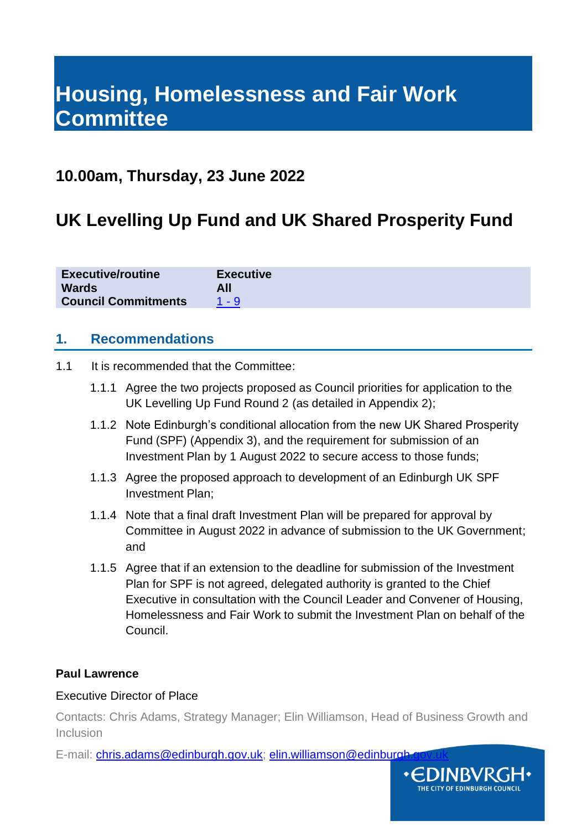# **Housing, Homelessness and Fair Work Committee**

# **10.00am, Thursday, 23 June 2022**

# **UK Levelling Up Fund and UK Shared Prosperity Fund**

| <b>Executive/routine</b>   | <b>Executive</b> |
|----------------------------|------------------|
| <b>Wards</b>               | All              |
| <b>Council Commitments</b> | 1 - 9            |

### **1. Recommendations**

- 1.1 It is recommended that the Committee:
	- 1.1.1 Agree the two projects proposed as Council priorities for application to the UK Levelling Up Fund Round 2 (as detailed in Appendix 2);
	- 1.1.2 Note Edinburgh's conditional allocation from the new UK Shared Prosperity Fund (SPF) (Appendix 3), and the requirement for submission of an Investment Plan by 1 August 2022 to secure access to those funds;
	- 1.1.3 Agree the proposed approach to development of an Edinburgh UK SPF Investment Plan;
	- 1.1.4 Note that a final draft Investment Plan will be prepared for approval by Committee in August 2022 in advance of submission to the UK Government; and
	- 1.1.5 Agree that if an extension to the deadline for submission of the Investment Plan for SPF is not agreed, delegated authority is granted to the Chief Executive in consultation with the Council Leader and Convener of Housing, Homelessness and Fair Work to submit the Investment Plan on behalf of the Council.

#### **Paul Lawrence**

#### Executive Director of Place

Contacts: Chris Adams, Strategy Manager; Elin Williamson, Head of Business Growth and Inclusion

E-mail: [chris.adams@edinburgh.gov.uk;](mailto:chris.adams@edinburgh.gov.uk) elin.williamson@edinburgh

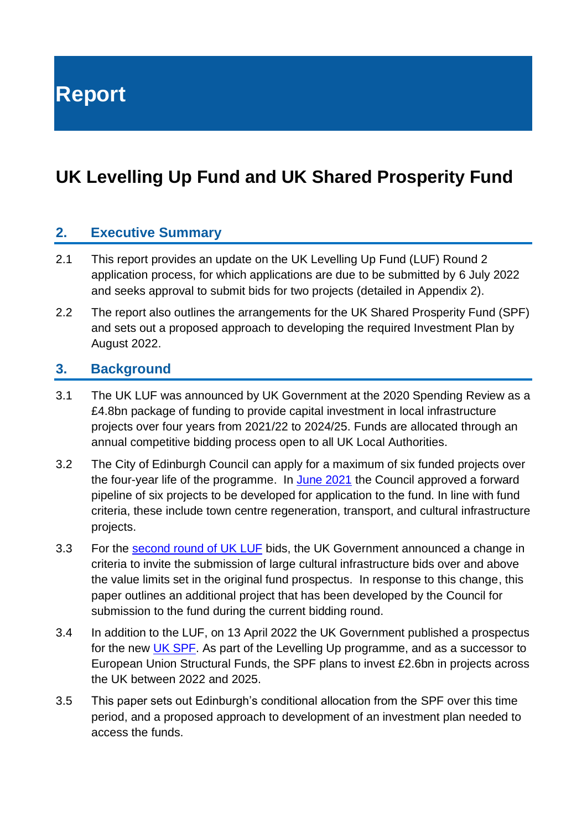**Report**

# **UK Levelling Up Fund and UK Shared Prosperity Fund**

## **2. Executive Summary**

- 2.1 This report provides an update on the UK Levelling Up Fund (LUF) Round 2 application process, for which applications are due to be submitted by 6 July 2022 and seeks approval to submit bids for two projects (detailed in Appendix 2).
- 2.2 The report also outlines the arrangements for the UK Shared Prosperity Fund (SPF) and sets out a proposed approach to developing the required Investment Plan by August 2022.

### **3. Background**

- 3.1 The UK LUF was announced by UK Government at the 2020 Spending Review as a £4.8bn package of funding to provide capital investment in local infrastructure projects over four years from 2021/22 to 2024/25. Funds are allocated through an annual competitive bidding process open to all UK Local Authorities.
- 3.2 The City of Edinburgh Council can apply for a maximum of six funded projects over the four-year life of the programme. In [June 2021](https://democracy.edinburgh.gov.uk/documents/s34652/Item%207.11%20-%20UK%20Levelling%20Up%20Fund.pdf) the Council approved a forward pipeline of six projects to be developed for application to the fund. In line with fund criteria, these include town centre regeneration, transport, and cultural infrastructure projects.
- 3.3 For the [second round of UK LUF](https://www.gov.uk/government/publications/levelling-up-fund-round-2-prospectus) bids, the UK Government announced a change in criteria to invite the submission of large cultural infrastructure bids over and above the value limits set in the original fund prospectus. In response to this change, this paper outlines an additional project that has been developed by the Council for submission to the fund during the current bidding round.
- 3.4 In addition to the LUF, on 13 April 2022 the UK Government published a prospectus for the new [UK SPF.](https://www.gov.uk/government/publications/uk-shared-prosperity-fund-prospectus/uk-shared-prosperity-fund-prospectus) As part of the Levelling Up programme, and as a successor to European Union Structural Funds, the SPF plans to invest £2.6bn in projects across the UK between 2022 and 2025.
- 3.5 This paper sets out Edinburgh's conditional allocation from the SPF over this time period, and a proposed approach to development of an investment plan needed to access the funds.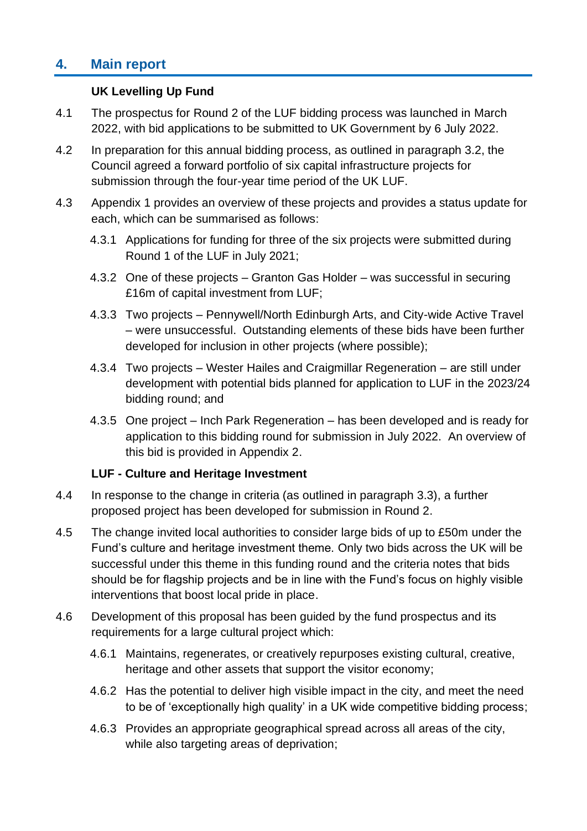# **4. Main report**

#### **UK Levelling Up Fund**

- 4.1 The prospectus for Round 2 of the LUF bidding process was launched in March 2022, with bid applications to be submitted to UK Government by 6 July 2022.
- 4.2 In preparation for this annual bidding process, as outlined in paragraph 3.2, the Council agreed a forward portfolio of six capital infrastructure projects for submission through the four-year time period of the UK LUF.
- 4.3 Appendix 1 provides an overview of these projects and provides a status update for each, which can be summarised as follows:
	- 4.3.1 Applications for funding for three of the six projects were submitted during Round 1 of the LUF in July 2021;
	- 4.3.2 One of these projects Granton Gas Holder was successful in securing £16m of capital investment from LUF;
	- 4.3.3 Two projects Pennywell/North Edinburgh Arts, and City-wide Active Travel – were unsuccessful. Outstanding elements of these bids have been further developed for inclusion in other projects (where possible);
	- 4.3.4 Two projects Wester Hailes and Craigmillar Regeneration are still under development with potential bids planned for application to LUF in the 2023/24 bidding round; and
	- 4.3.5 One project Inch Park Regeneration has been developed and is ready for application to this bidding round for submission in July 2022. An overview of this bid is provided in Appendix 2.

#### **LUF - Culture and Heritage Investment**

- 4.4 In response to the change in criteria (as outlined in paragraph 3.3), a further proposed project has been developed for submission in Round 2.
- 4.5 The change invited local authorities to consider large bids of up to £50m under the Fund's culture and heritage investment theme. Only two bids across the UK will be successful under this theme in this funding round and the criteria notes that bids should be for flagship projects and be in line with the Fund's focus on highly visible interventions that boost local pride in place.
- 4.6 Development of this proposal has been guided by the fund prospectus and its requirements for a large cultural project which:
	- 4.6.1 Maintains, regenerates, or creatively repurposes existing cultural, creative, heritage and other assets that support the visitor economy;
	- 4.6.2 Has the potential to deliver high visible impact in the city, and meet the need to be of 'exceptionally high quality' in a UK wide competitive bidding process;
	- 4.6.3 Provides an appropriate geographical spread across all areas of the city, while also targeting areas of deprivation;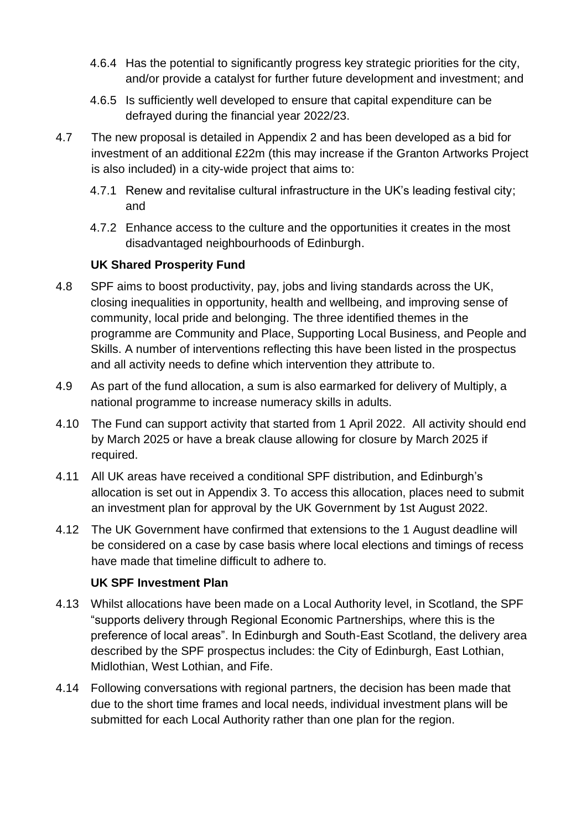- 4.6.4 Has the potential to significantly progress key strategic priorities for the city, and/or provide a catalyst for further future development and investment; and
- 4.6.5 Is sufficiently well developed to ensure that capital expenditure can be defrayed during the financial year 2022/23.
- 4.7 The new proposal is detailed in Appendix 2 and has been developed as a bid for investment of an additional £22m (this may increase if the Granton Artworks Project is also included) in a city-wide project that aims to:
	- 4.7.1 Renew and revitalise cultural infrastructure in the UK's leading festival city; and
	- 4.7.2 Enhance access to the culture and the opportunities it creates in the most disadvantaged neighbourhoods of Edinburgh.

### **UK Shared Prosperity Fund**

- 4.8 SPF aims to boost productivity, pay, jobs and living standards across the UK, closing inequalities in opportunity, health and wellbeing, and improving sense of community, local pride and belonging. The three identified themes in the programme are Community and Place, Supporting Local Business, and People and Skills. A number of interventions reflecting this have been listed in the prospectus and all activity needs to define which intervention they attribute to.
- 4.9 As part of the fund allocation, a sum is also earmarked for delivery of Multiply, a national programme to increase numeracy skills in adults.
- 4.10 The Fund can support activity that started from 1 April 2022. All activity should end by March 2025 or have a break clause allowing for closure by March 2025 if required.
- 4.11 All UK areas have received a conditional SPF distribution, and Edinburgh's allocation is set out in Appendix 3. To access this allocation, places need to submit an investment plan for approval by the UK Government by 1st August 2022.
- 4.12 The UK Government have confirmed that extensions to the 1 August deadline will be considered on a case by case basis where local elections and timings of recess have made that timeline difficult to adhere to.

#### **UK SPF Investment Plan**

- 4.13 Whilst allocations have been made on a Local Authority level, in Scotland, the SPF "supports delivery through Regional Economic Partnerships, where this is the preference of local areas". In Edinburgh and South-East Scotland, the delivery area described by the SPF prospectus includes: the City of Edinburgh, East Lothian, Midlothian, West Lothian, and Fife.
- 4.14 Following conversations with regional partners, the decision has been made that due to the short time frames and local needs, individual investment plans will be submitted for each Local Authority rather than one plan for the region.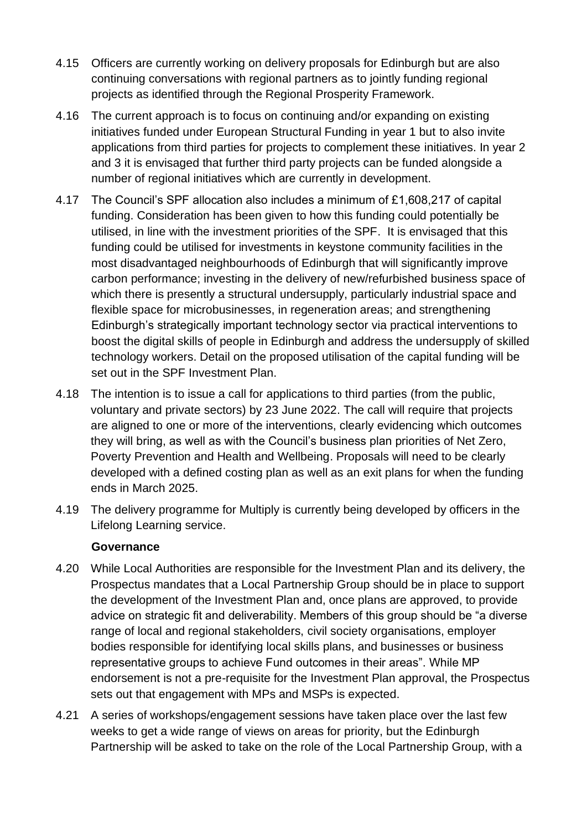- 4.15 Officers are currently working on delivery proposals for Edinburgh but are also continuing conversations with regional partners as to jointly funding regional projects as identified through the Regional Prosperity Framework.
- 4.16 The current approach is to focus on continuing and/or expanding on existing initiatives funded under European Structural Funding in year 1 but to also invite applications from third parties for projects to complement these initiatives. In year 2 and 3 it is envisaged that further third party projects can be funded alongside a number of regional initiatives which are currently in development.
- 4.17 The Council's SPF allocation also includes a minimum of £1,608,217 of capital funding. Consideration has been given to how this funding could potentially be utilised, in line with the investment priorities of the SPF. It is envisaged that this funding could be utilised for investments in keystone community facilities in the most disadvantaged neighbourhoods of Edinburgh that will significantly improve carbon performance; investing in the delivery of new/refurbished business space of which there is presently a structural undersupply, particularly industrial space and flexible space for microbusinesses, in regeneration areas; and strengthening Edinburgh's strategically important technology sector via practical interventions to boost the digital skills of people in Edinburgh and address the undersupply of skilled technology workers. Detail on the proposed utilisation of the capital funding will be set out in the SPF Investment Plan.
- 4.18 The intention is to issue a call for applications to third parties (from the public, voluntary and private sectors) by 23 June 2022. The call will require that projects are aligned to one or more of the interventions, clearly evidencing which outcomes they will bring, as well as with the Council's business plan priorities of Net Zero, Poverty Prevention and Health and Wellbeing. Proposals will need to be clearly developed with a defined costing plan as well as an exit plans for when the funding ends in March 2025.
- 4.19 The delivery programme for Multiply is currently being developed by officers in the Lifelong Learning service.

#### **Governance**

- 4.20 While Local Authorities are responsible for the Investment Plan and its delivery, the Prospectus mandates that a Local Partnership Group should be in place to support the development of the Investment Plan and, once plans are approved, to provide advice on strategic fit and deliverability. Members of this group should be "a diverse range of local and regional stakeholders, civil society organisations, employer bodies responsible for identifying local skills plans, and businesses or business representative groups to achieve Fund outcomes in their areas". While MP endorsement is not a pre-requisite for the Investment Plan approval, the Prospectus sets out that engagement with MPs and MSPs is expected.
- 4.21 A series of workshops/engagement sessions have taken place over the last few weeks to get a wide range of views on areas for priority, but the Edinburgh Partnership will be asked to take on the role of the Local Partnership Group, with a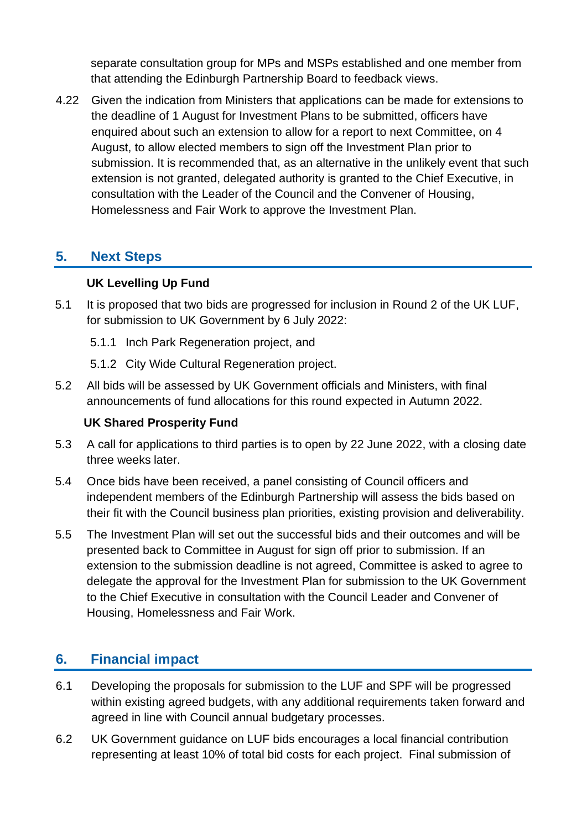separate consultation group for MPs and MSPs established and one member from that attending the Edinburgh Partnership Board to feedback views.

4.22 Given the indication from Ministers that applications can be made for extensions to the deadline of 1 August for Investment Plans to be submitted, officers have enquired about such an extension to allow for a report to next Committee, on 4 August, to allow elected members to sign off the Investment Plan prior to submission. It is recommended that, as an alternative in the unlikely event that such extension is not granted, delegated authority is granted to the Chief Executive, in consultation with the Leader of the Council and the Convener of Housing, Homelessness and Fair Work to approve the Investment Plan.

# **5. Next Steps**

### **UK Levelling Up Fund**

- 5.1 It is proposed that two bids are progressed for inclusion in Round 2 of the UK LUF, for submission to UK Government by 6 July 2022:
	- 5.1.1 Inch Park Regeneration project, and
	- 5.1.2 City Wide Cultural Regeneration project.
- 5.2 All bids will be assessed by UK Government officials and Ministers, with final announcements of fund allocations for this round expected in Autumn 2022.

#### **UK Shared Prosperity Fund**

- 5.3 A call for applications to third parties is to open by 22 June 2022, with a closing date three weeks later.
- 5.4 Once bids have been received, a panel consisting of Council officers and independent members of the Edinburgh Partnership will assess the bids based on their fit with the Council business plan priorities, existing provision and deliverability.
- 5.5 The Investment Plan will set out the successful bids and their outcomes and will be presented back to Committee in August for sign off prior to submission. If an extension to the submission deadline is not agreed, Committee is asked to agree to delegate the approval for the Investment Plan for submission to the UK Government to the Chief Executive in consultation with the Council Leader and Convener of Housing, Homelessness and Fair Work.

# **6. Financial impact**

- 6.1 Developing the proposals for submission to the LUF and SPF will be progressed within existing agreed budgets, with any additional requirements taken forward and agreed in line with Council annual budgetary processes.
- 6.2 UK Government guidance on LUF bids encourages a local financial contribution representing at least 10% of total bid costs for each project. Final submission of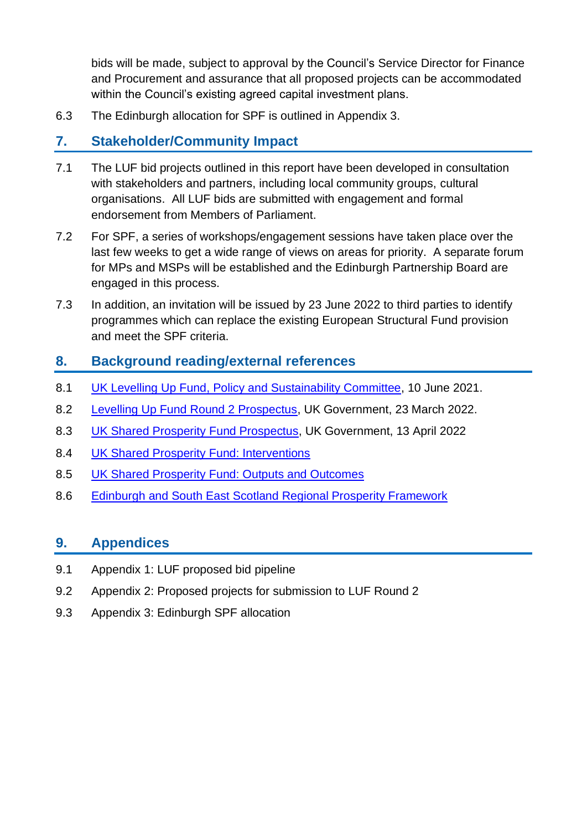bids will be made, subject to approval by the Council's Service Director for Finance and Procurement and assurance that all proposed projects can be accommodated within the Council's existing agreed capital investment plans.

6.3 The Edinburgh allocation for SPF is outlined in Appendix 3.

# **7. Stakeholder/Community Impact**

- 7.1 The LUF bid projects outlined in this report have been developed in consultation with stakeholders and partners, including local community groups, cultural organisations. All LUF bids are submitted with engagement and formal endorsement from Members of Parliament.
- 7.2 For SPF, a series of workshops/engagement sessions have taken place over the last few weeks to get a wide range of views on areas for priority. A separate forum for MPs and MSPs will be established and the Edinburgh Partnership Board are engaged in this process.
- 7.3 In addition, an invitation will be issued by 23 June 2022 to third parties to identify programmes which can replace the existing European Structural Fund provision and meet the SPF criteria.

# **8. Background reading/external references**

- 8.1 [UK Levelling Up Fund,](https://democracy.edinburgh.gov.uk/documents/s34652/Item%207.11%20-%20UK%20Levelling%20Up%20Fund.pdf) Policy and Sustainability Committee, 10 June 2021.
- 8.2 [Levelling Up Fund Round 2 Prospectus,](https://www.gov.uk/government/publications/levelling-up-fund-round-2-prospectus) UK Government, 23 March 2022.
- 8.3 [UK Shared Prosperity Fund Prospectus,](https://www.gov.uk/government/publications/uk-shared-prosperity-fund-prospectus/uk-shared-prosperity-fund-prospectus) UK Government, 13 April 2022
- 8.4 [UK Shared Prosperity Fund: Interventions](https://www.gov.uk/government/publications/uk-shared-prosperity-fund-interventions-outputs-and-indicators/interventions-list-for-scotland)
- 8.5 [UK Shared Prosperity Fund: Outputs and Outcomes](https://assets.publishing.service.gov.uk/government/uploads/system/uploads/attachment_data/file/1068876/UKSPF_Scotland_outputs_and_outcomes.pdf)
- 8.6 [Edinburgh and South East Scotland Regional Prosperity Framework](https://static1.squarespace.com/static/55c87967e4b05aa55020f656/t/6217993e23a04c21b6935723/1645713736429/Regional+Prosperity+Framework+%28approved+by+Joint+Committee+Sep+22%29.pdf)

### **9. Appendices**

- 9.1 Appendix 1: LUF proposed bid pipeline
- 9.2 Appendix 2: Proposed projects for submission to LUF Round 2
- 9.3 Appendix 3: Edinburgh SPF allocation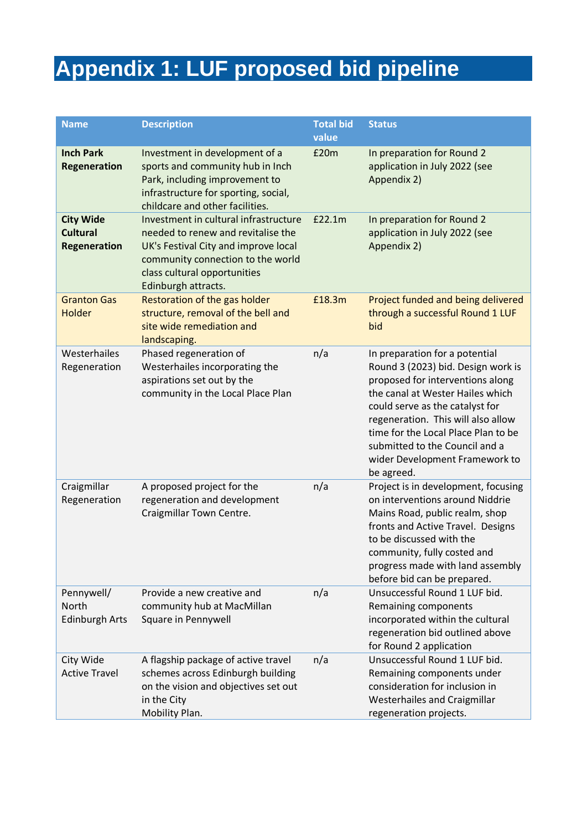# **Appendix 1: LUF proposed bid pipeline**

| <b>Name</b>                                                | <b>Description</b>                                                                                                                                                                                              | <b>Total bid</b><br>value | <b>Status</b>                                                                                                                                                                                                                                                                                                                                  |
|------------------------------------------------------------|-----------------------------------------------------------------------------------------------------------------------------------------------------------------------------------------------------------------|---------------------------|------------------------------------------------------------------------------------------------------------------------------------------------------------------------------------------------------------------------------------------------------------------------------------------------------------------------------------------------|
| <b>Inch Park</b><br><b>Regeneration</b>                    | Investment in development of a<br>sports and community hub in Inch<br>Park, including improvement to<br>infrastructure for sporting, social,<br>childcare and other facilities.                                 | £20m                      | In preparation for Round 2<br>application in July 2022 (see<br>Appendix 2)                                                                                                                                                                                                                                                                     |
| <b>City Wide</b><br><b>Cultural</b><br><b>Regeneration</b> | Investment in cultural infrastructure<br>needed to renew and revitalise the<br>UK's Festival City and improve local<br>community connection to the world<br>class cultural opportunities<br>Edinburgh attracts. | £22.1m                    | In preparation for Round 2<br>application in July 2022 (see<br>Appendix 2)                                                                                                                                                                                                                                                                     |
| <b>Granton Gas</b><br><b>Holder</b>                        | Restoration of the gas holder<br>structure, removal of the bell and<br>site wide remediation and<br>landscaping.                                                                                                | £18.3m                    | Project funded and being delivered<br>through a successful Round 1 LUF<br>bid                                                                                                                                                                                                                                                                  |
| Westerhailes<br>Regeneration                               | Phased regeneration of<br>Westerhailes incorporating the<br>aspirations set out by the<br>community in the Local Place Plan                                                                                     | n/a                       | In preparation for a potential<br>Round 3 (2023) bid. Design work is<br>proposed for interventions along<br>the canal at Wester Hailes which<br>could serve as the catalyst for<br>regeneration. This will also allow<br>time for the Local Place Plan to be<br>submitted to the Council and a<br>wider Development Framework to<br>be agreed. |
| Craigmillar<br>Regeneration                                | A proposed project for the<br>regeneration and development<br>Craigmillar Town Centre.                                                                                                                          | n/a                       | Project is in development, focusing<br>on interventions around Niddrie<br>Mains Road, public realm, shop<br>fronts and Active Travel. Designs<br>to be discussed with the<br>community, fully costed and<br>progress made with land assembly<br>before bid can be prepared.                                                                    |
| Pennywell/<br>North<br><b>Edinburgh Arts</b>               | Provide a new creative and<br>community hub at MacMillan<br>Square in Pennywell                                                                                                                                 | n/a                       | Unsuccessful Round 1 LUF bid.<br>Remaining components<br>incorporated within the cultural<br>regeneration bid outlined above<br>for Round 2 application                                                                                                                                                                                        |
| City Wide<br><b>Active Travel</b>                          | A flagship package of active travel<br>schemes across Edinburgh building<br>on the vision and objectives set out<br>in the City<br>Mobility Plan.                                                               | n/a                       | Unsuccessful Round 1 LUF bid.<br>Remaining components under<br>consideration for inclusion in<br>Westerhailes and Craigmillar<br>regeneration projects.                                                                                                                                                                                        |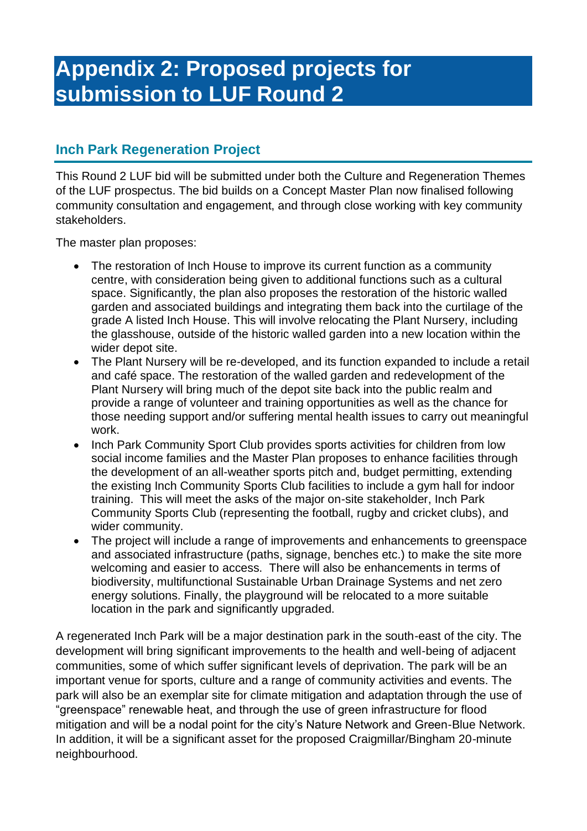# **Appendix 2: Proposed projects for submission to LUF Round 2**

# **Inch Park Regeneration Project**

This Round 2 LUF bid will be submitted under both the Culture and Regeneration Themes of the LUF prospectus. The bid builds on a Concept Master Plan now finalised following community consultation and engagement, and through close working with key community stakeholders.

The master plan proposes:

- The restoration of Inch House to improve its current function as a community centre, with consideration being given to additional functions such as a cultural space. Significantly, the plan also proposes the restoration of the historic walled garden and associated buildings and integrating them back into the curtilage of the grade A listed Inch House. This will involve relocating the Plant Nursery, including the glasshouse, outside of the historic walled garden into a new location within the wider depot site.
- The Plant Nursery will be re-developed, and its function expanded to include a retail and café space. The restoration of the walled garden and redevelopment of the Plant Nursery will bring much of the depot site back into the public realm and provide a range of volunteer and training opportunities as well as the chance for those needing support and/or suffering mental health issues to carry out meaningful work.
- Inch Park Community Sport Club provides sports activities for children from low social income families and the Master Plan proposes to enhance facilities through the development of an all-weather sports pitch and, budget permitting, extending the existing Inch Community Sports Club facilities to include a gym hall for indoor training. This will meet the asks of the major on-site stakeholder, Inch Park Community Sports Club (representing the football, rugby and cricket clubs), and wider community.
- The project will include a range of improvements and enhancements to greenspace and associated infrastructure (paths, signage, benches etc.) to make the site more welcoming and easier to access. There will also be enhancements in terms of biodiversity, multifunctional Sustainable Urban Drainage Systems and net zero energy solutions. Finally, the playground will be relocated to a more suitable location in the park and significantly upgraded.

A regenerated Inch Park will be a major destination park in the south-east of the city. The development will bring significant improvements to the health and well-being of adjacent communities, some of which suffer significant levels of deprivation. The park will be an important venue for sports, culture and a range of community activities and events. The park will also be an exemplar site for climate mitigation and adaptation through the use of "greenspace" renewable heat, and through the use of green infrastructure for flood mitigation and will be a nodal point for the city's Nature Network and Green-Blue Network. In addition, it will be a significant asset for the proposed Craigmillar/Bingham 20-minute neighbourhood.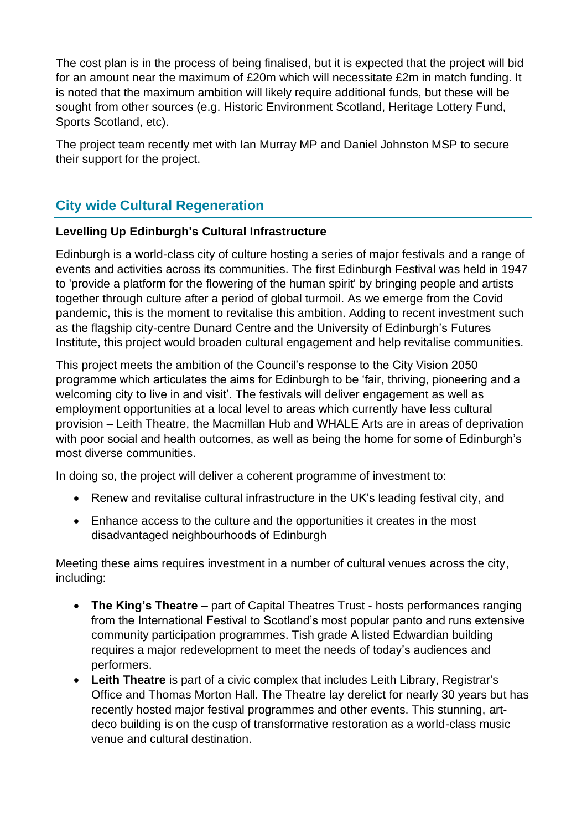The cost plan is in the process of being finalised, but it is expected that the project will bid for an amount near the maximum of £20m which will necessitate £2m in match funding. It is noted that the maximum ambition will likely require additional funds, but these will be sought from other sources (e.g. Historic Environment Scotland, Heritage Lottery Fund, Sports Scotland, etc).

The project team recently met with Ian Murray MP and Daniel Johnston MSP to secure their support for the project.

# **City wide Cultural Regeneration**

#### **Levelling Up Edinburgh's Cultural Infrastructure**

Edinburgh is a world-class city of culture hosting a series of major festivals and a range of events and activities across its communities. The first Edinburgh Festival was held in 1947 to 'provide a platform for the flowering of the human spirit' by bringing people and artists together through culture after a period of global turmoil. As we emerge from the Covid pandemic, this is the moment to revitalise this ambition. Adding to recent investment such as the flagship city-centre Dunard Centre and the University of Edinburgh's Futures Institute, this project would broaden cultural engagement and help revitalise communities.

This project meets the ambition of the Council's response to the City Vision 2050 programme which articulates the aims for Edinburgh to be 'fair, thriving, pioneering and a welcoming city to live in and visit'. The festivals will deliver engagement as well as employment opportunities at a local level to areas which currently have less cultural provision – Leith Theatre, the Macmillan Hub and WHALE Arts are in areas of deprivation with poor social and health outcomes, as well as being the home for some of Edinburgh's most diverse communities.

In doing so, the project will deliver a coherent programme of investment to:

- Renew and revitalise cultural infrastructure in the UK's leading festival city, and
- Enhance access to the culture and the opportunities it creates in the most disadvantaged neighbourhoods of Edinburgh

Meeting these aims requires investment in a number of cultural venues across the city, including:

- **The King's Theatre** part of Capital Theatres Trust hosts performances ranging from the International Festival to Scotland's most popular panto and runs extensive community participation programmes. Tish grade A listed Edwardian building requires a major redevelopment to meet the needs of today's audiences and performers.
- **Leith Theatre** is part of a civic complex that includes Leith Library, Registrar's Office and Thomas Morton Hall. The Theatre lay derelict for nearly 30 years but has recently hosted major festival programmes and other events. This stunning, artdeco building is on the cusp of transformative restoration as a world-class music venue and cultural destination.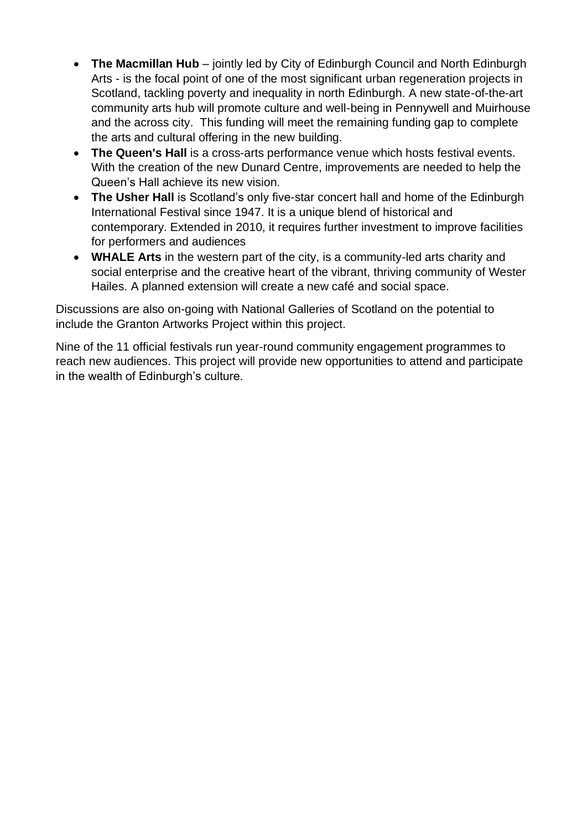- **The Macmillan Hub** jointly led by City of Edinburgh Council and North Edinburgh Arts - is the focal point of one of the most significant urban regeneration projects in Scotland, tackling poverty and inequality in north Edinburgh. A new state-of-the-art community arts hub will promote culture and well-being in Pennywell and Muirhouse and the across city. This funding will meet the remaining funding gap to complete the arts and cultural offering in the new building.
- **The Queen's Hall** is a cross-arts performance venue which hosts festival events. With the creation of the new Dunard Centre, improvements are needed to help the Queen's Hall achieve its new vision.
- **The Usher Hall** is Scotland's only five-star concert hall and home of the Edinburgh International Festival since 1947. It is a unique blend of historical and contemporary. Extended in 2010, it requires further investment to improve facilities for performers and audiences
- **WHALE Arts** in the western part of the city, is a community-led arts charity and social enterprise and the creative heart of the vibrant, thriving community of Wester Hailes. A planned extension will create a new café and social space.

Discussions are also on-going with National Galleries of Scotland on the potential to include the Granton Artworks Project within this project.

Nine of the 11 official festivals run year-round community engagement programmes to reach new audiences. This project will provide new opportunities to attend and participate in the wealth of Edinburgh's culture.